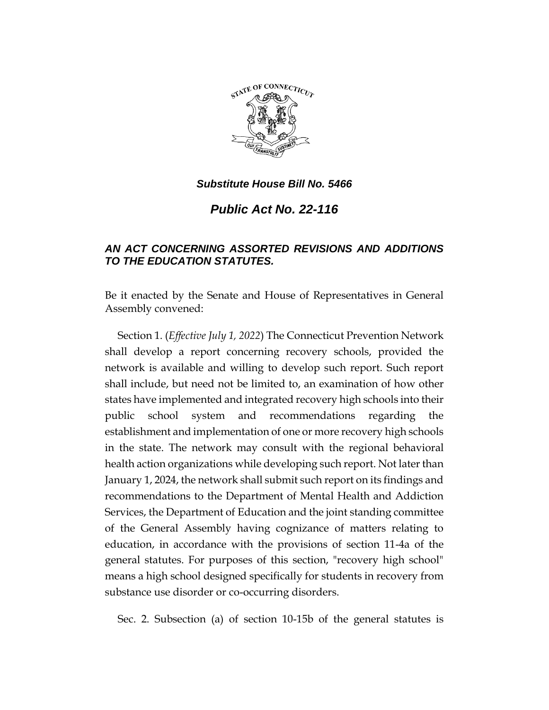

*Public Act No. 22-116*

## *AN ACT CONCERNING ASSORTED REVISIONS AND ADDITIONS TO THE EDUCATION STATUTES.*

Be it enacted by the Senate and House of Representatives in General Assembly convened:

Section 1. (*Effective July 1, 2022*) The Connecticut Prevention Network shall develop a report concerning recovery schools, provided the network is available and willing to develop such report. Such report shall include, but need not be limited to, an examination of how other states have implemented and integrated recovery high schools into their public school system and recommendations regarding the establishment and implementation of one or more recovery high schools in the state. The network may consult with the regional behavioral health action organizations while developing such report. Not later than January 1, 2024, the network shall submit such report on its findings and recommendations to the Department of Mental Health and Addiction Services, the Department of Education and the joint standing committee of the General Assembly having cognizance of matters relating to education, in accordance with the provisions of section 11-4a of the general statutes. For purposes of this section, "recovery high school" means a high school designed specifically for students in recovery from substance use disorder or co-occurring disorders.

Sec. 2. Subsection (a) of section 10-15b of the general statutes is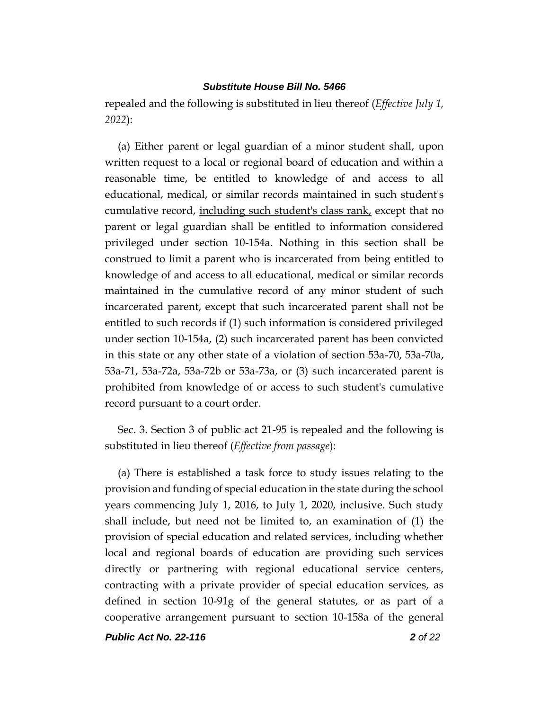repealed and the following is substituted in lieu thereof (*Effective July 1, 2022*):

(a) Either parent or legal guardian of a minor student shall, upon written request to a local or regional board of education and within a reasonable time, be entitled to knowledge of and access to all educational, medical, or similar records maintained in such student's cumulative record, including such student's class rank, except that no parent or legal guardian shall be entitled to information considered privileged under section 10-154a. Nothing in this section shall be construed to limit a parent who is incarcerated from being entitled to knowledge of and access to all educational, medical or similar records maintained in the cumulative record of any minor student of such incarcerated parent, except that such incarcerated parent shall not be entitled to such records if (1) such information is considered privileged under section 10-154a, (2) such incarcerated parent has been convicted in this state or any other state of a violation of section 53a-70, 53a-70a, 53a-71, 53a-72a, 53a-72b or 53a-73a, or (3) such incarcerated parent is prohibited from knowledge of or access to such student's cumulative record pursuant to a court order.

Sec. 3. Section 3 of public act 21-95 is repealed and the following is substituted in lieu thereof (*Effective from passage*):

(a) There is established a task force to study issues relating to the provision and funding of special education in the state during the school years commencing July 1, 2016, to July 1, 2020, inclusive. Such study shall include, but need not be limited to, an examination of (1) the provision of special education and related services, including whether local and regional boards of education are providing such services directly or partnering with regional educational service centers, contracting with a private provider of special education services, as defined in section 10-91g of the general statutes, or as part of a cooperative arrangement pursuant to section 10-158a of the general

*Public Act No. 22-116 2 of 22*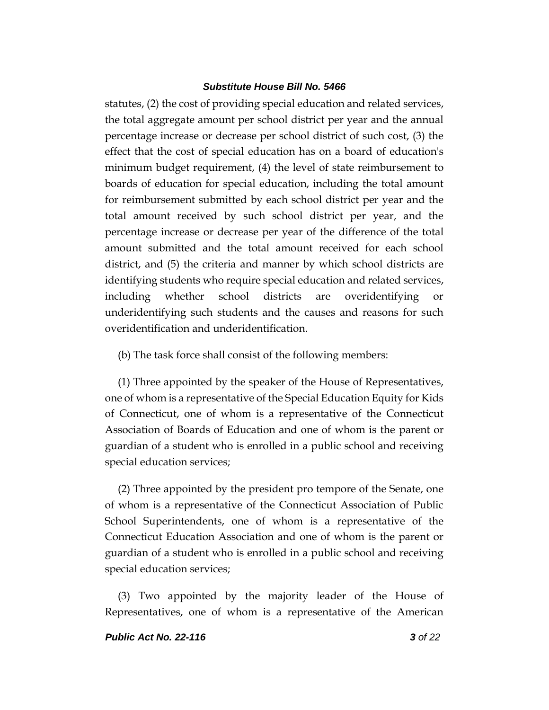statutes, (2) the cost of providing special education and related services, the total aggregate amount per school district per year and the annual percentage increase or decrease per school district of such cost, (3) the effect that the cost of special education has on a board of education's minimum budget requirement, (4) the level of state reimbursement to boards of education for special education, including the total amount for reimbursement submitted by each school district per year and the total amount received by such school district per year, and the percentage increase or decrease per year of the difference of the total amount submitted and the total amount received for each school district, and (5) the criteria and manner by which school districts are identifying students who require special education and related services, including whether school districts are overidentifying or underidentifying such students and the causes and reasons for such overidentification and underidentification.

(b) The task force shall consist of the following members:

(1) Three appointed by the speaker of the House of Representatives, one of whom is a representative of the Special Education Equity for Kids of Connecticut, one of whom is a representative of the Connecticut Association of Boards of Education and one of whom is the parent or guardian of a student who is enrolled in a public school and receiving special education services;

(2) Three appointed by the president pro tempore of the Senate, one of whom is a representative of the Connecticut Association of Public School Superintendents, one of whom is a representative of the Connecticut Education Association and one of whom is the parent or guardian of a student who is enrolled in a public school and receiving special education services;

(3) Two appointed by the majority leader of the House of Representatives, one of whom is a representative of the American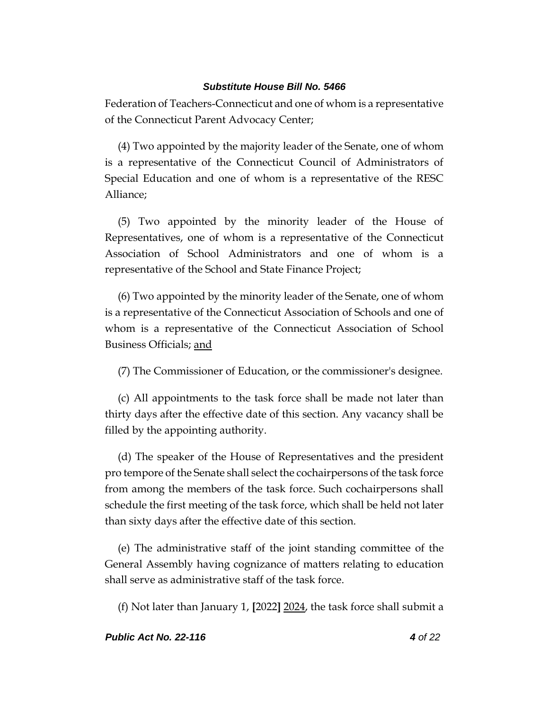Federation of Teachers-Connecticut and one of whom is a representative of the Connecticut Parent Advocacy Center;

(4) Two appointed by the majority leader of the Senate, one of whom is a representative of the Connecticut Council of Administrators of Special Education and one of whom is a representative of the RESC Alliance;

(5) Two appointed by the minority leader of the House of Representatives, one of whom is a representative of the Connecticut Association of School Administrators and one of whom is a representative of the School and State Finance Project;

(6) Two appointed by the minority leader of the Senate, one of whom is a representative of the Connecticut Association of Schools and one of whom is a representative of the Connecticut Association of School Business Officials; and

(7) The Commissioner of Education, or the commissioner's designee.

(c) All appointments to the task force shall be made not later than thirty days after the effective date of this section. Any vacancy shall be filled by the appointing authority.

(d) The speaker of the House of Representatives and the president pro tempore of the Senate shall select the cochairpersons of the task force from among the members of the task force. Such cochairpersons shall schedule the first meeting of the task force, which shall be held not later than sixty days after the effective date of this section.

(e) The administrative staff of the joint standing committee of the General Assembly having cognizance of matters relating to education shall serve as administrative staff of the task force.

(f) Not later than January 1, **[**2022**]** 2024, the task force shall submit a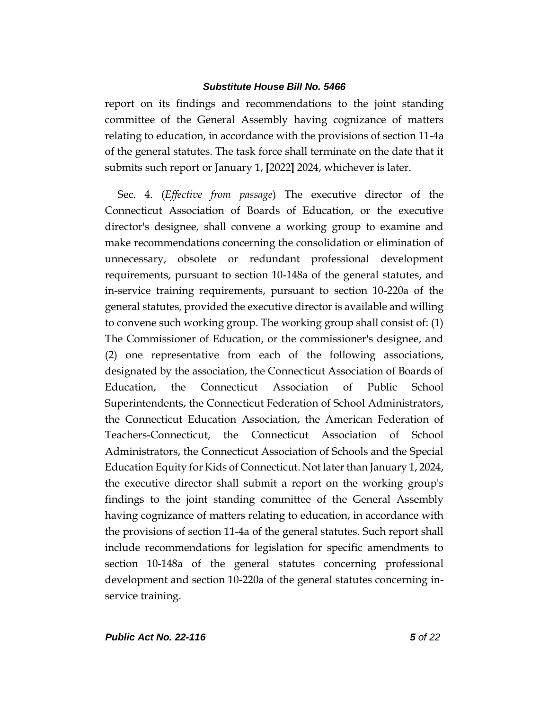report on its findings and recommendations to the joint standing committee of the General Assembly having cognizance of matters relating to education, in accordance with the provisions of section 11-4a of the general statutes. The task force shall terminate on the date that it submits such report or January 1, **[**2022**]** 2024, whichever is later.

Sec. 4. (*Effective from passage*) The executive director of the Connecticut Association of Boards of Education, or the executive director's designee, shall convene a working group to examine and make recommendations concerning the consolidation or elimination of unnecessary, obsolete or redundant professional development requirements, pursuant to section 10-148a of the general statutes, and in-service training requirements, pursuant to section 10-220a of the general statutes, provided the executive director is available and willing to convene such working group. The working group shall consist of: (1) The Commissioner of Education, or the commissioner's designee, and (2) one representative from each of the following associations, designated by the association, the Connecticut Association of Boards of Education, the Connecticut Association of Public School Superintendents, the Connecticut Federation of School Administrators, the Connecticut Education Association, the American Federation of Teachers-Connecticut, the Connecticut Association of School Administrators, the Connecticut Association of Schools and the Special Education Equity for Kids of Connecticut. Not later than January 1, 2024, the executive director shall submit a report on the working group's findings to the joint standing committee of the General Assembly having cognizance of matters relating to education, in accordance with the provisions of section 11-4a of the general statutes. Such report shall include recommendations for legislation for specific amendments to section 10-148a of the general statutes concerning professional development and section 10-220a of the general statutes concerning inservice training.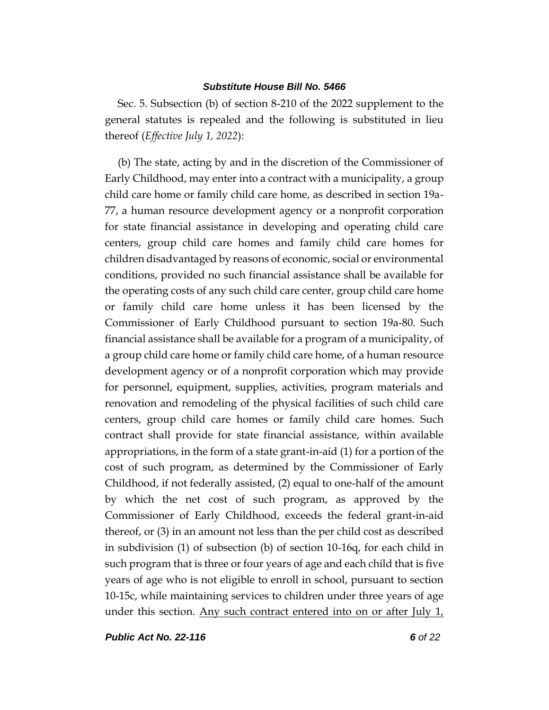Sec. 5. Subsection (b) of section 8-210 of the 2022 supplement to the general statutes is repealed and the following is substituted in lieu thereof (*Effective July 1, 2022*):

(b) The state, acting by and in the discretion of the Commissioner of Early Childhood, may enter into a contract with a municipality, a group child care home or family child care home, as described in section 19a-77, a human resource development agency or a nonprofit corporation for state financial assistance in developing and operating child care centers, group child care homes and family child care homes for children disadvantaged by reasons of economic, social or environmental conditions, provided no such financial assistance shall be available for the operating costs of any such child care center, group child care home or family child care home unless it has been licensed by the Commissioner of Early Childhood pursuant to section 19a-80. Such financial assistance shall be available for a program of a municipality, of a group child care home or family child care home, of a human resource development agency or of a nonprofit corporation which may provide for personnel, equipment, supplies, activities, program materials and renovation and remodeling of the physical facilities of such child care centers, group child care homes or family child care homes. Such contract shall provide for state financial assistance, within available appropriations, in the form of a state grant-in-aid (1) for a portion of the cost of such program, as determined by the Commissioner of Early Childhood, if not federally assisted, (2) equal to one-half of the amount by which the net cost of such program, as approved by the Commissioner of Early Childhood, exceeds the federal grant-in-aid thereof, or (3) in an amount not less than the per child cost as described in subdivision (1) of subsection (b) of section 10-16q, for each child in such program that is three or four years of age and each child that is five years of age who is not eligible to enroll in school, pursuant to section 10-15c, while maintaining services to children under three years of age under this section. Any such contract entered into on or after July 1,

*Public Act No. 22-116 6 of 22*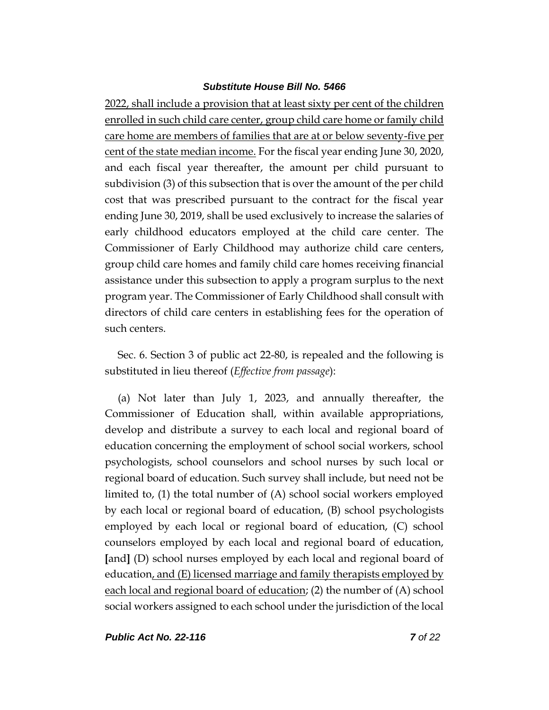2022, shall include a provision that at least sixty per cent of the children enrolled in such child care center, group child care home or family child care home are members of families that are at or below seventy-five per cent of the state median income. For the fiscal year ending June 30, 2020, and each fiscal year thereafter, the amount per child pursuant to subdivision (3) of this subsection that is over the amount of the per child cost that was prescribed pursuant to the contract for the fiscal year ending June 30, 2019, shall be used exclusively to increase the salaries of early childhood educators employed at the child care center. The Commissioner of Early Childhood may authorize child care centers, group child care homes and family child care homes receiving financial assistance under this subsection to apply a program surplus to the next program year. The Commissioner of Early Childhood shall consult with directors of child care centers in establishing fees for the operation of such centers.

Sec. 6. Section 3 of public act 22-80, is repealed and the following is substituted in lieu thereof (*Effective from passage*):

(a) Not later than July 1, 2023, and annually thereafter, the Commissioner of Education shall, within available appropriations, develop and distribute a survey to each local and regional board of education concerning the employment of school social workers, school psychologists, school counselors and school nurses by such local or regional board of education. Such survey shall include, but need not be limited to, (1) the total number of (A) school social workers employed by each local or regional board of education, (B) school psychologists employed by each local or regional board of education, (C) school counselors employed by each local and regional board of education, **[**and**]** (D) school nurses employed by each local and regional board of education, and  $(E)$  licensed marriage and family therapists employed by each local and regional board of education; (2) the number of (A) school social workers assigned to each school under the jurisdiction of the local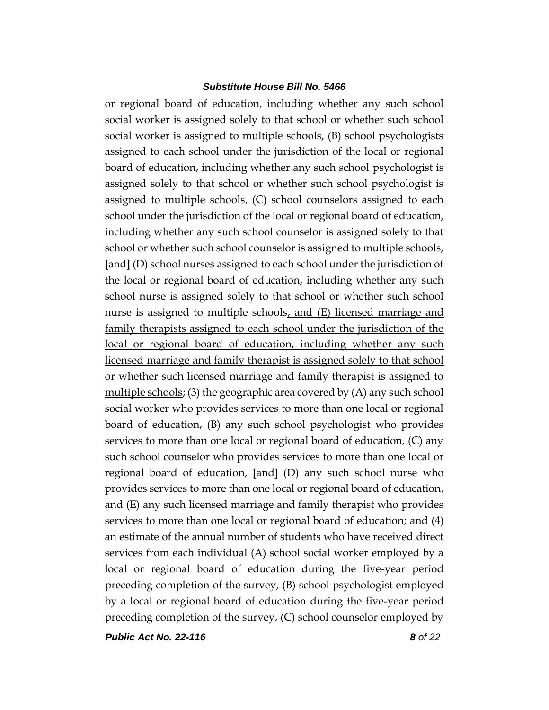or regional board of education, including whether any such school social worker is assigned solely to that school or whether such school social worker is assigned to multiple schools, (B) school psychologists assigned to each school under the jurisdiction of the local or regional board of education, including whether any such school psychologist is assigned solely to that school or whether such school psychologist is assigned to multiple schools, (C) school counselors assigned to each school under the jurisdiction of the local or regional board of education, including whether any such school counselor is assigned solely to that school or whether such school counselor is assigned to multiple schools, **[**and**]** (D) school nurses assigned to each school under the jurisdiction of the local or regional board of education, including whether any such school nurse is assigned solely to that school or whether such school nurse is assigned to multiple schools, and (E) licensed marriage and family therapists assigned to each school under the jurisdiction of the local or regional board of education, including whether any such licensed marriage and family therapist is assigned solely to that school or whether such licensed marriage and family therapist is assigned to multiple schools; (3) the geographic area covered by (A) any such school social worker who provides services to more than one local or regional board of education, (B) any such school psychologist who provides services to more than one local or regional board of education, (C) any such school counselor who provides services to more than one local or regional board of education, **[**and**]** (D) any such school nurse who provides services to more than one local or regional board of education, and (E) any such licensed marriage and family therapist who provides services to more than one local or regional board of education; and (4) an estimate of the annual number of students who have received direct services from each individual (A) school social worker employed by a local or regional board of education during the five-year period preceding completion of the survey, (B) school psychologist employed by a local or regional board of education during the five-year period preceding completion of the survey, (C) school counselor employed by

*Public Act No. 22-116 8 of 22*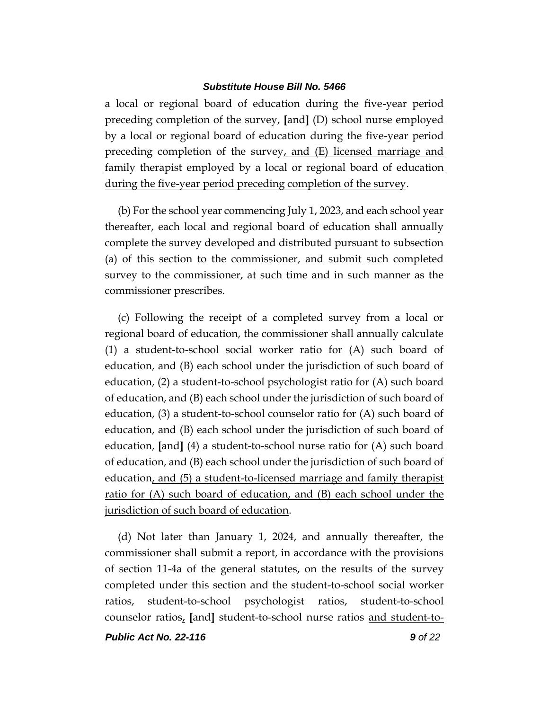a local or regional board of education during the five-year period preceding completion of the survey, **[**and**]** (D) school nurse employed by a local or regional board of education during the five-year period preceding completion of the survey, and (E) licensed marriage and family therapist employed by a local or regional board of education during the five-year period preceding completion of the survey.

(b) For the school year commencing July 1, 2023, and each school year thereafter, each local and regional board of education shall annually complete the survey developed and distributed pursuant to subsection (a) of this section to the commissioner, and submit such completed survey to the commissioner, at such time and in such manner as the commissioner prescribes.

(c) Following the receipt of a completed survey from a local or regional board of education, the commissioner shall annually calculate (1) a student-to-school social worker ratio for (A) such board of education, and (B) each school under the jurisdiction of such board of education, (2) a student-to-school psychologist ratio for (A) such board of education, and (B) each school under the jurisdiction of such board of education, (3) a student-to-school counselor ratio for (A) such board of education, and (B) each school under the jurisdiction of such board of education, **[**and**]** (4) a student-to-school nurse ratio for (A) such board of education, and (B) each school under the jurisdiction of such board of education, and (5) a student-to-licensed marriage and family therapist ratio for (A) such board of education, and (B) each school under the jurisdiction of such board of education.

(d) Not later than January 1, 2024, and annually thereafter, the commissioner shall submit a report, in accordance with the provisions of section 11-4a of the general statutes, on the results of the survey completed under this section and the student-to-school social worker ratios, student-to-school psychologist ratios, student-to-school counselor ratios, **[**and**]** student-to-school nurse ratios and student-to-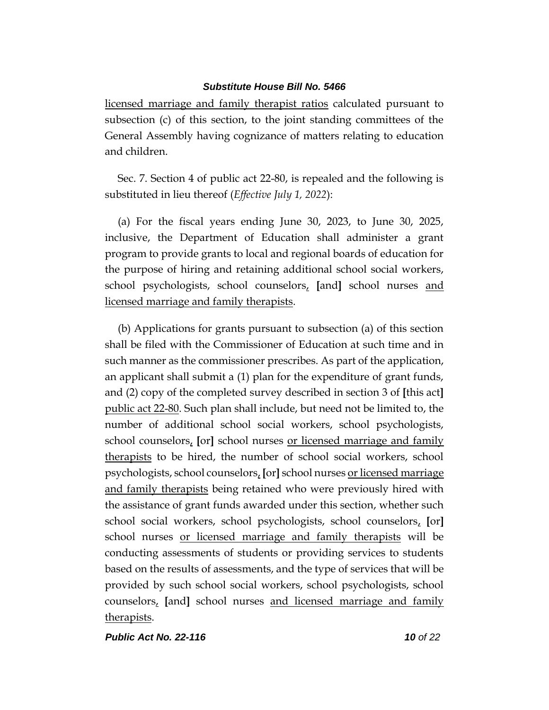licensed marriage and family therapist ratios calculated pursuant to subsection (c) of this section, to the joint standing committees of the General Assembly having cognizance of matters relating to education and children.

Sec. 7. Section 4 of public act 22-80, is repealed and the following is substituted in lieu thereof (*Effective July 1, 2022*):

(a) For the fiscal years ending June 30, 2023, to June 30, 2025, inclusive, the Department of Education shall administer a grant program to provide grants to local and regional boards of education for the purpose of hiring and retaining additional school social workers, school psychologists, school counselors, **[**and**]** school nurses and licensed marriage and family therapists.

(b) Applications for grants pursuant to subsection (a) of this section shall be filed with the Commissioner of Education at such time and in such manner as the commissioner prescribes. As part of the application, an applicant shall submit a (1) plan for the expenditure of grant funds, and (2) copy of the completed survey described in section 3 of **[**this act**]** public act 22-80. Such plan shall include, but need not be limited to, the number of additional school social workers, school psychologists, school counselors, **[**or**]** school nurses or licensed marriage and family therapists to be hired, the number of school social workers, school psychologists, school counselors, **[**or**]** school nurses or licensed marriage and family therapists being retained who were previously hired with the assistance of grant funds awarded under this section, whether such school social workers, school psychologists, school counselors, **[**or**]** school nurses or licensed marriage and family therapists will be conducting assessments of students or providing services to students based on the results of assessments, and the type of services that will be provided by such school social workers, school psychologists, school counselors, **[**and**]** school nurses and licensed marriage and family therapists.

*Public Act No. 22-116 10 of 22*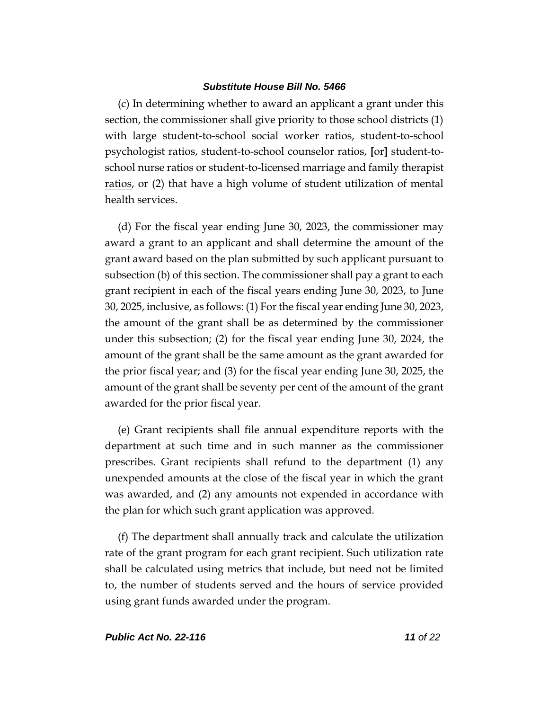(c) In determining whether to award an applicant a grant under this section, the commissioner shall give priority to those school districts (1) with large student-to-school social worker ratios, student-to-school psychologist ratios, student-to-school counselor ratios, **[**or**]** student-toschool nurse ratios or student-to-licensed marriage and family therapist ratios, or (2) that have a high volume of student utilization of mental health services.

(d) For the fiscal year ending June 30, 2023, the commissioner may award a grant to an applicant and shall determine the amount of the grant award based on the plan submitted by such applicant pursuant to subsection (b) of this section. The commissioner shall pay a grant to each grant recipient in each of the fiscal years ending June 30, 2023, to June 30, 2025, inclusive, as follows: (1) For the fiscal year ending June 30, 2023, the amount of the grant shall be as determined by the commissioner under this subsection; (2) for the fiscal year ending June 30, 2024, the amount of the grant shall be the same amount as the grant awarded for the prior fiscal year; and (3) for the fiscal year ending June 30, 2025, the amount of the grant shall be seventy per cent of the amount of the grant awarded for the prior fiscal year.

(e) Grant recipients shall file annual expenditure reports with the department at such time and in such manner as the commissioner prescribes. Grant recipients shall refund to the department (1) any unexpended amounts at the close of the fiscal year in which the grant was awarded, and (2) any amounts not expended in accordance with the plan for which such grant application was approved.

(f) The department shall annually track and calculate the utilization rate of the grant program for each grant recipient. Such utilization rate shall be calculated using metrics that include, but need not be limited to, the number of students served and the hours of service provided using grant funds awarded under the program.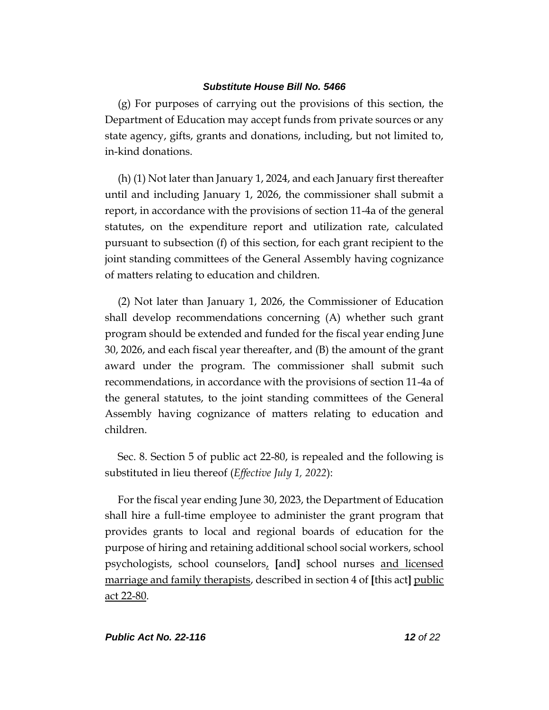(g) For purposes of carrying out the provisions of this section, the Department of Education may accept funds from private sources or any state agency, gifts, grants and donations, including, but not limited to, in-kind donations.

(h) (1) Not later than January 1, 2024, and each January first thereafter until and including January 1, 2026, the commissioner shall submit a report, in accordance with the provisions of section 11-4a of the general statutes, on the expenditure report and utilization rate, calculated pursuant to subsection (f) of this section, for each grant recipient to the joint standing committees of the General Assembly having cognizance of matters relating to education and children.

(2) Not later than January 1, 2026, the Commissioner of Education shall develop recommendations concerning (A) whether such grant program should be extended and funded for the fiscal year ending June 30, 2026, and each fiscal year thereafter, and (B) the amount of the grant award under the program. The commissioner shall submit such recommendations, in accordance with the provisions of section 11-4a of the general statutes, to the joint standing committees of the General Assembly having cognizance of matters relating to education and children.

Sec. 8. Section 5 of public act 22-80, is repealed and the following is substituted in lieu thereof (*Effective July 1, 2022*):

For the fiscal year ending June 30, 2023, the Department of Education shall hire a full-time employee to administer the grant program that provides grants to local and regional boards of education for the purpose of hiring and retaining additional school social workers, school psychologists, school counselors, **[**and**]** school nurses and licensed marriage and family therapists, described in section 4 of **[**this act**]** public act 22-80.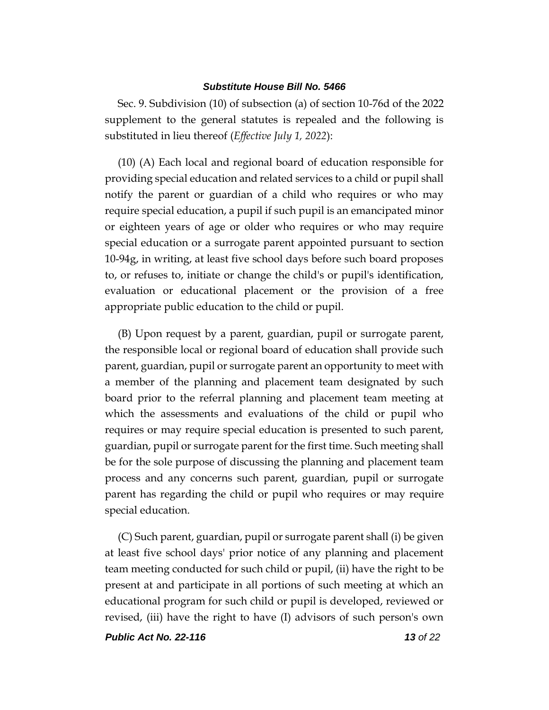Sec. 9. Subdivision (10) of subsection (a) of section 10-76d of the 2022 supplement to the general statutes is repealed and the following is substituted in lieu thereof (*Effective July 1, 2022*):

(10) (A) Each local and regional board of education responsible for providing special education and related services to a child or pupil shall notify the parent or guardian of a child who requires or who may require special education, a pupil if such pupil is an emancipated minor or eighteen years of age or older who requires or who may require special education or a surrogate parent appointed pursuant to section 10-94g, in writing, at least five school days before such board proposes to, or refuses to, initiate or change the child's or pupil's identification, evaluation or educational placement or the provision of a free appropriate public education to the child or pupil.

(B) Upon request by a parent, guardian, pupil or surrogate parent, the responsible local or regional board of education shall provide such parent, guardian, pupil or surrogate parent an opportunity to meet with a member of the planning and placement team designated by such board prior to the referral planning and placement team meeting at which the assessments and evaluations of the child or pupil who requires or may require special education is presented to such parent, guardian, pupil or surrogate parent for the first time. Such meeting shall be for the sole purpose of discussing the planning and placement team process and any concerns such parent, guardian, pupil or surrogate parent has regarding the child or pupil who requires or may require special education.

(C) Such parent, guardian, pupil or surrogate parent shall (i) be given at least five school days' prior notice of any planning and placement team meeting conducted for such child or pupil, (ii) have the right to be present at and participate in all portions of such meeting at which an educational program for such child or pupil is developed, reviewed or revised, (iii) have the right to have (I) advisors of such person's own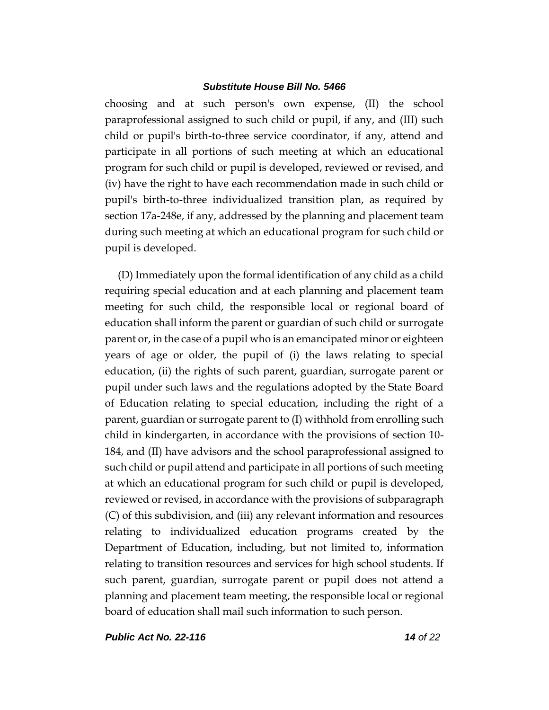choosing and at such person's own expense, (II) the school paraprofessional assigned to such child or pupil, if any, and (III) such child or pupil's birth-to-three service coordinator, if any, attend and participate in all portions of such meeting at which an educational program for such child or pupil is developed, reviewed or revised, and (iv) have the right to have each recommendation made in such child or pupil's birth-to-three individualized transition plan, as required by section 17a-248e, if any, addressed by the planning and placement team during such meeting at which an educational program for such child or pupil is developed.

(D) Immediately upon the formal identification of any child as a child requiring special education and at each planning and placement team meeting for such child, the responsible local or regional board of education shall inform the parent or guardian of such child or surrogate parent or, in the case of a pupil who is an emancipated minor or eighteen years of age or older, the pupil of (i) the laws relating to special education, (ii) the rights of such parent, guardian, surrogate parent or pupil under such laws and the regulations adopted by the State Board of Education relating to special education, including the right of a parent, guardian or surrogate parent to (I) withhold from enrolling such child in kindergarten, in accordance with the provisions of section 10- 184, and (II) have advisors and the school paraprofessional assigned to such child or pupil attend and participate in all portions of such meeting at which an educational program for such child or pupil is developed, reviewed or revised, in accordance with the provisions of subparagraph (C) of this subdivision, and (iii) any relevant information and resources relating to individualized education programs created by the Department of Education, including, but not limited to, information relating to transition resources and services for high school students. If such parent, guardian, surrogate parent or pupil does not attend a planning and placement team meeting, the responsible local or regional board of education shall mail such information to such person.

*Public Act No. 22-116 14 of 22*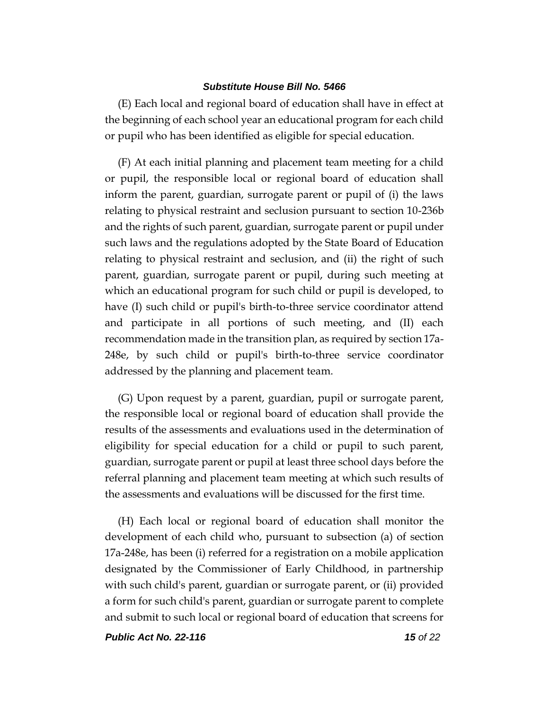(E) Each local and regional board of education shall have in effect at the beginning of each school year an educational program for each child or pupil who has been identified as eligible for special education.

(F) At each initial planning and placement team meeting for a child or pupil, the responsible local or regional board of education shall inform the parent, guardian, surrogate parent or pupil of (i) the laws relating to physical restraint and seclusion pursuant to section 10-236b and the rights of such parent, guardian, surrogate parent or pupil under such laws and the regulations adopted by the State Board of Education relating to physical restraint and seclusion, and (ii) the right of such parent, guardian, surrogate parent or pupil, during such meeting at which an educational program for such child or pupil is developed, to have (I) such child or pupil's birth-to-three service coordinator attend and participate in all portions of such meeting, and (II) each recommendation made in the transition plan, as required by section 17a-248e, by such child or pupil's birth-to-three service coordinator addressed by the planning and placement team.

(G) Upon request by a parent, guardian, pupil or surrogate parent, the responsible local or regional board of education shall provide the results of the assessments and evaluations used in the determination of eligibility for special education for a child or pupil to such parent, guardian, surrogate parent or pupil at least three school days before the referral planning and placement team meeting at which such results of the assessments and evaluations will be discussed for the first time.

(H) Each local or regional board of education shall monitor the development of each child who, pursuant to subsection (a) of section 17a-248e, has been (i) referred for a registration on a mobile application designated by the Commissioner of Early Childhood, in partnership with such child's parent, guardian or surrogate parent, or (ii) provided a form for such child's parent, guardian or surrogate parent to complete and submit to such local or regional board of education that screens for

*Public Act No. 22-116 15 of 22*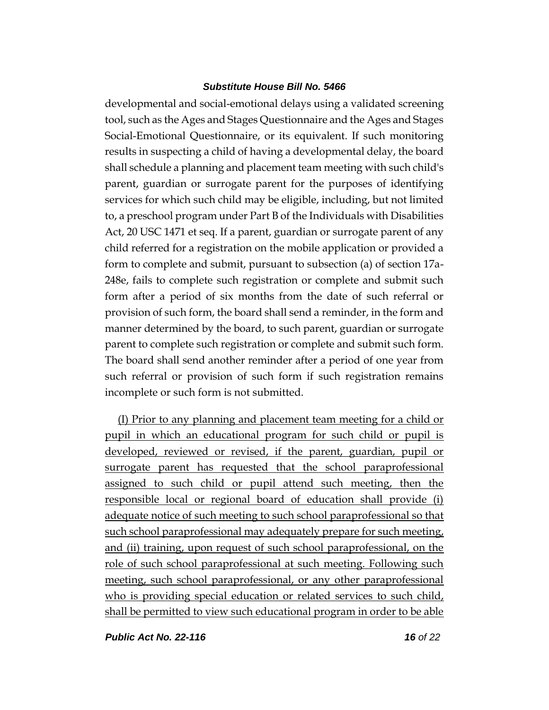developmental and social-emotional delays using a validated screening tool, such as the Ages and Stages Questionnaire and the Ages and Stages Social-Emotional Questionnaire, or its equivalent. If such monitoring results in suspecting a child of having a developmental delay, the board shall schedule a planning and placement team meeting with such child's parent, guardian or surrogate parent for the purposes of identifying services for which such child may be eligible, including, but not limited to, a preschool program under Part B of the Individuals with Disabilities Act, 20 USC 1471 et seq. If a parent, guardian or surrogate parent of any child referred for a registration on the mobile application or provided a form to complete and submit, pursuant to subsection (a) of section 17a-248e, fails to complete such registration or complete and submit such form after a period of six months from the date of such referral or provision of such form, the board shall send a reminder, in the form and manner determined by the board, to such parent, guardian or surrogate parent to complete such registration or complete and submit such form. The board shall send another reminder after a period of one year from such referral or provision of such form if such registration remains incomplete or such form is not submitted.

(I) Prior to any planning and placement team meeting for a child or pupil in which an educational program for such child or pupil is developed, reviewed or revised, if the parent, guardian, pupil or surrogate parent has requested that the school paraprofessional assigned to such child or pupil attend such meeting, then the responsible local or regional board of education shall provide (i) adequate notice of such meeting to such school paraprofessional so that such school paraprofessional may adequately prepare for such meeting, and (ii) training, upon request of such school paraprofessional, on the role of such school paraprofessional at such meeting. Following such meeting, such school paraprofessional, or any other paraprofessional who is providing special education or related services to such child, shall be permitted to view such educational program in order to be able

*Public Act No. 22-116 16 of 22*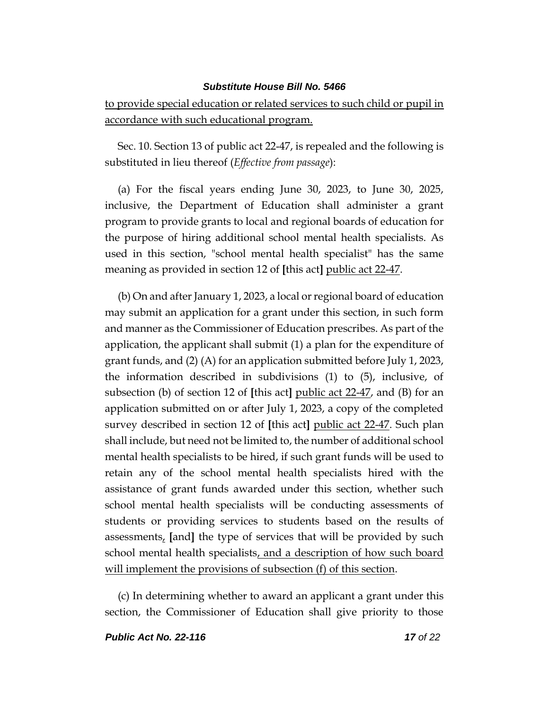to provide special education or related services to such child or pupil in accordance with such educational program.

Sec. 10. Section 13 of public act 22-47, is repealed and the following is substituted in lieu thereof (*Effective from passage*):

(a) For the fiscal years ending June 30, 2023, to June 30, 2025, inclusive, the Department of Education shall administer a grant program to provide grants to local and regional boards of education for the purpose of hiring additional school mental health specialists. As used in this section, "school mental health specialist" has the same meaning as provided in section 12 of **[**this act**]** public act 22-47.

(b) On and after January 1, 2023, a local or regional board of education may submit an application for a grant under this section, in such form and manner as the Commissioner of Education prescribes. As part of the application, the applicant shall submit (1) a plan for the expenditure of grant funds, and (2) (A) for an application submitted before July 1, 2023, the information described in subdivisions (1) to (5), inclusive, of subsection (b) of section 12 of **[**this act**]** public act 22-47, and (B) for an application submitted on or after July 1, 2023, a copy of the completed survey described in section 12 of **[**this act**]** public act 22-47. Such plan shall include, but need not be limited to, the number of additional school mental health specialists to be hired, if such grant funds will be used to retain any of the school mental health specialists hired with the assistance of grant funds awarded under this section, whether such school mental health specialists will be conducting assessments of students or providing services to students based on the results of assessments, **[**and**]** the type of services that will be provided by such school mental health specialists, and a description of how such board will implement the provisions of subsection (f) of this section.

(c) In determining whether to award an applicant a grant under this section, the Commissioner of Education shall give priority to those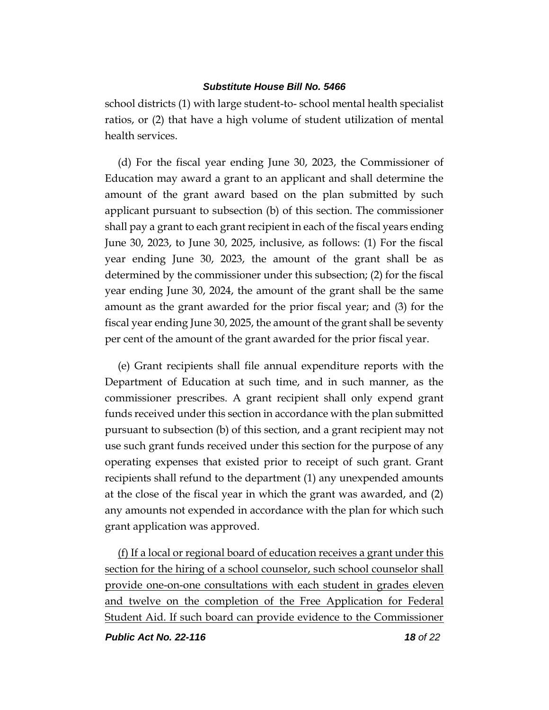school districts (1) with large student-to- school mental health specialist ratios, or (2) that have a high volume of student utilization of mental health services.

(d) For the fiscal year ending June 30, 2023, the Commissioner of Education may award a grant to an applicant and shall determine the amount of the grant award based on the plan submitted by such applicant pursuant to subsection (b) of this section. The commissioner shall pay a grant to each grant recipient in each of the fiscal years ending June 30, 2023, to June 30, 2025, inclusive, as follows: (1) For the fiscal year ending June 30, 2023, the amount of the grant shall be as determined by the commissioner under this subsection; (2) for the fiscal year ending June 30, 2024, the amount of the grant shall be the same amount as the grant awarded for the prior fiscal year; and (3) for the fiscal year ending June 30, 2025, the amount of the grant shall be seventy per cent of the amount of the grant awarded for the prior fiscal year.

(e) Grant recipients shall file annual expenditure reports with the Department of Education at such time, and in such manner, as the commissioner prescribes. A grant recipient shall only expend grant funds received under this section in accordance with the plan submitted pursuant to subsection (b) of this section, and a grant recipient may not use such grant funds received under this section for the purpose of any operating expenses that existed prior to receipt of such grant. Grant recipients shall refund to the department (1) any unexpended amounts at the close of the fiscal year in which the grant was awarded, and (2) any amounts not expended in accordance with the plan for which such grant application was approved.

(f) If a local or regional board of education receives a grant under this section for the hiring of a school counselor, such school counselor shall provide one-on-one consultations with each student in grades eleven and twelve on the completion of the Free Application for Federal Student Aid. If such board can provide evidence to the Commissioner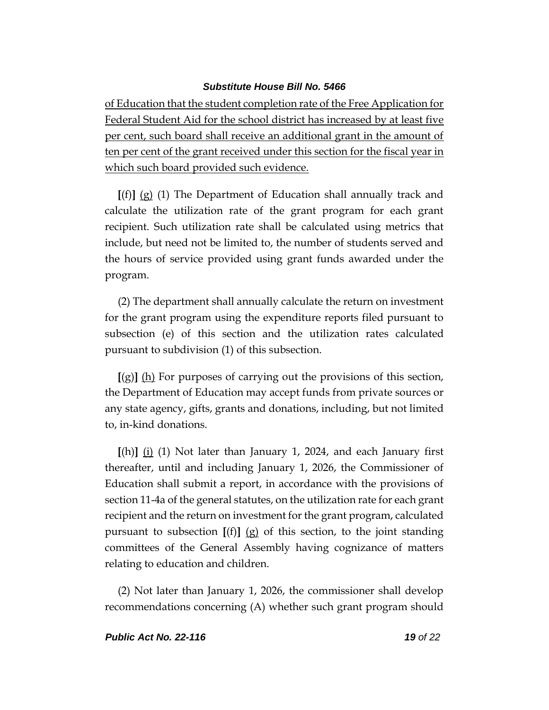of Education that the student completion rate of the Free Application for Federal Student Aid for the school district has increased by at least five per cent, such board shall receive an additional grant in the amount of ten per cent of the grant received under this section for the fiscal year in which such board provided such evidence.

**[**(f)**]** (g) (1) The Department of Education shall annually track and calculate the utilization rate of the grant program for each grant recipient. Such utilization rate shall be calculated using metrics that include, but need not be limited to, the number of students served and the hours of service provided using grant funds awarded under the program.

(2) The department shall annually calculate the return on investment for the grant program using the expenditure reports filed pursuant to subsection (e) of this section and the utilization rates calculated pursuant to subdivision (1) of this subsection.

**[**(g)**]** (h) For purposes of carrying out the provisions of this section, the Department of Education may accept funds from private sources or any state agency, gifts, grants and donations, including, but not limited to, in-kind donations.

**[**(h)**]** (i) (1) Not later than January 1, 2024, and each January first thereafter, until and including January 1, 2026, the Commissioner of Education shall submit a report, in accordance with the provisions of section 11-4a of the general statutes, on the utilization rate for each grant recipient and the return on investment for the grant program, calculated pursuant to subsection **[**(f)**]** (g) of this section, to the joint standing committees of the General Assembly having cognizance of matters relating to education and children.

(2) Not later than January 1, 2026, the commissioner shall develop recommendations concerning (A) whether such grant program should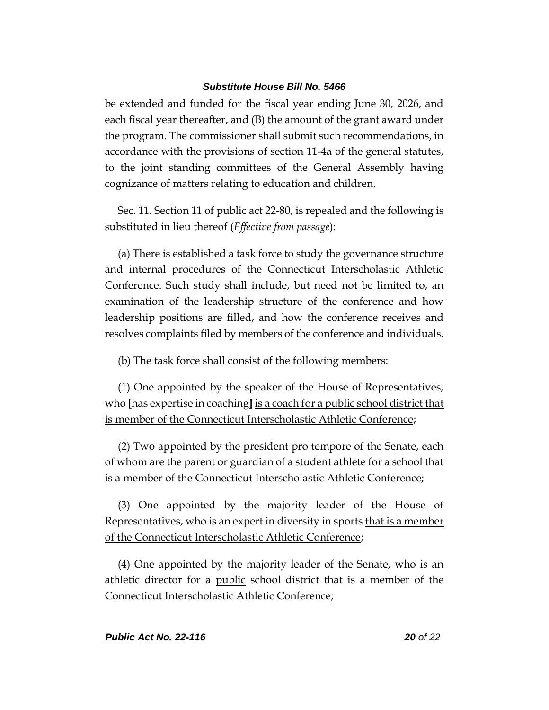be extended and funded for the fiscal year ending June 30, 2026, and each fiscal year thereafter, and (B) the amount of the grant award under the program. The commissioner shall submit such recommendations, in accordance with the provisions of section 11-4a of the general statutes, to the joint standing committees of the General Assembly having cognizance of matters relating to education and children.

Sec. 11. Section 11 of public act 22-80, is repealed and the following is substituted in lieu thereof (*Effective from passage*):

(a) There is established a task force to study the governance structure and internal procedures of the Connecticut Interscholastic Athletic Conference. Such study shall include, but need not be limited to, an examination of the leadership structure of the conference and how leadership positions are filled, and how the conference receives and resolves complaints filed by members of the conference and individuals.

(b) The task force shall consist of the following members:

(1) One appointed by the speaker of the House of Representatives, who **[**has expertise in coaching**]** is a coach for a public school district that is member of the Connecticut Interscholastic Athletic Conference;

(2) Two appointed by the president pro tempore of the Senate, each of whom are the parent or guardian of a student athlete for a school that is a member of the Connecticut Interscholastic Athletic Conference;

(3) One appointed by the majority leader of the House of Representatives, who is an expert in diversity in sports that is a member of the Connecticut Interscholastic Athletic Conference;

(4) One appointed by the majority leader of the Senate, who is an athletic director for a public school district that is a member of the Connecticut Interscholastic Athletic Conference;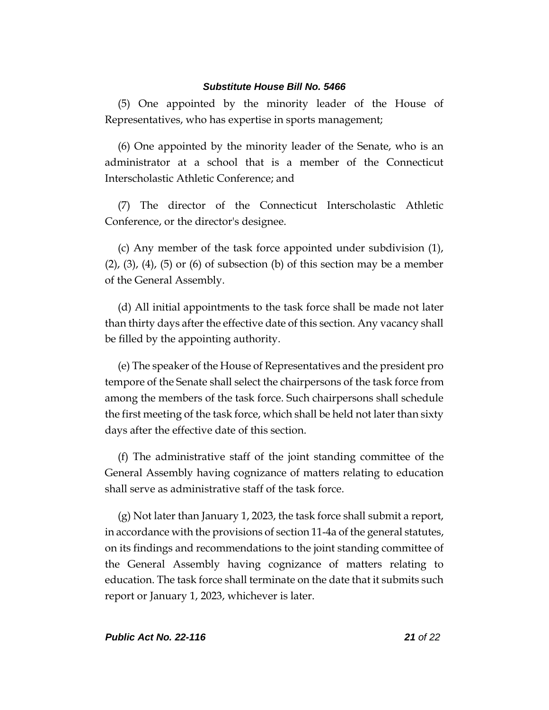(5) One appointed by the minority leader of the House of Representatives, who has expertise in sports management;

(6) One appointed by the minority leader of the Senate, who is an administrator at a school that is a member of the Connecticut Interscholastic Athletic Conference; and

(7) The director of the Connecticut Interscholastic Athletic Conference, or the director's designee.

(c) Any member of the task force appointed under subdivision (1),  $(2)$ ,  $(3)$ ,  $(4)$ ,  $(5)$  or  $(6)$  of subsection  $(b)$  of this section may be a member of the General Assembly.

(d) All initial appointments to the task force shall be made not later than thirty days after the effective date of this section. Any vacancy shall be filled by the appointing authority.

(e) The speaker of the House of Representatives and the president pro tempore of the Senate shall select the chairpersons of the task force from among the members of the task force. Such chairpersons shall schedule the first meeting of the task force, which shall be held not later than sixty days after the effective date of this section.

(f) The administrative staff of the joint standing committee of the General Assembly having cognizance of matters relating to education shall serve as administrative staff of the task force.

(g) Not later than January 1, 2023, the task force shall submit a report, in accordance with the provisions of section 11-4a of the general statutes, on its findings and recommendations to the joint standing committee of the General Assembly having cognizance of matters relating to education. The task force shall terminate on the date that it submits such report or January 1, 2023, whichever is later.